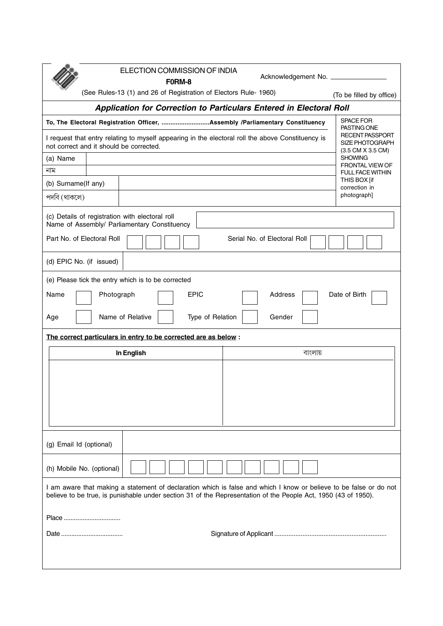|                                                                                                                                                                                                                                      | ELECTION COMMISSION OF INDIA<br>F0RM-8                                        |                |  |  | Acknowledgement No. ____________ |                                                                              |  |                          |  |
|--------------------------------------------------------------------------------------------------------------------------------------------------------------------------------------------------------------------------------------|-------------------------------------------------------------------------------|----------------|--|--|----------------------------------|------------------------------------------------------------------------------|--|--------------------------|--|
|                                                                                                                                                                                                                                      | (See Rules-13 (1) and 26 of Registration of Electors Rule- 1960)              |                |  |  |                                  |                                                                              |  | (To be filled by office) |  |
| Application for Correction to Particulars Entered in Electoral Roll                                                                                                                                                                  |                                                                               |                |  |  |                                  |                                                                              |  |                          |  |
|                                                                                                                                                                                                                                      |                                                                               |                |  |  |                                  | To, The Electoral Registration Officer, Assembly /Parliamentary Constituency |  | SPACE FOR                |  |
| I request that entry relating to myself appearing in the electoral roll the above Constituency is<br>not correct and it should be corrected.                                                                                         | PASTING ONE<br><b>RECENT PASSPORT</b><br>SIZE PHOTOGRAPH<br>(3.5 CM X 3.5 CM) |                |  |  |                                  |                                                                              |  |                          |  |
| (a) Name                                                                                                                                                                                                                             |                                                                               | <b>SHOWING</b> |  |  |                                  |                                                                              |  |                          |  |
| নাম                                                                                                                                                                                                                                  | FRONTAL VIEW OF<br><b>FULL FACE WITHIN</b>                                    |                |  |  |                                  |                                                                              |  |                          |  |
|                                                                                                                                                                                                                                      | (b) Surname(If any)                                                           |                |  |  |                                  |                                                                              |  |                          |  |
| পদবি (থাকলে)                                                                                                                                                                                                                         |                                                                               |                |  |  |                                  |                                                                              |  | photograph]              |  |
| (c) Details of registration with electoral roll<br>Name of Assembly/ Parliamentary Constituency                                                                                                                                      |                                                                               |                |  |  |                                  |                                                                              |  |                          |  |
| Part No. of Electoral Roll<br>Serial No. of Electoral Roll                                                                                                                                                                           |                                                                               |                |  |  |                                  |                                                                              |  |                          |  |
| (d) EPIC No. (if issued)                                                                                                                                                                                                             |                                                                               |                |  |  |                                  |                                                                              |  |                          |  |
| (e) Please tick the entry which is to be corrected                                                                                                                                                                                   |                                                                               |                |  |  |                                  |                                                                              |  |                          |  |
| <b>EPIC</b><br>Address<br>Date of Birth<br>Name<br>Photograph                                                                                                                                                                        |                                                                               |                |  |  |                                  |                                                                              |  |                          |  |
| Name of Relative<br>Type of Relation<br>Gender<br>Age                                                                                                                                                                                |                                                                               |                |  |  |                                  |                                                                              |  |                          |  |
| The correct particulars in entry to be corrected are as below :                                                                                                                                                                      |                                                                               |                |  |  |                                  |                                                                              |  |                          |  |
|                                                                                                                                                                                                                                      |                                                                               | In English     |  |  | বাংলায়                          |                                                                              |  |                          |  |
|                                                                                                                                                                                                                                      |                                                                               |                |  |  |                                  |                                                                              |  |                          |  |
|                                                                                                                                                                                                                                      |                                                                               |                |  |  |                                  |                                                                              |  |                          |  |
|                                                                                                                                                                                                                                      |                                                                               |                |  |  |                                  |                                                                              |  |                          |  |
|                                                                                                                                                                                                                                      |                                                                               |                |  |  |                                  |                                                                              |  |                          |  |
|                                                                                                                                                                                                                                      |                                                                               |                |  |  |                                  |                                                                              |  |                          |  |
|                                                                                                                                                                                                                                      |                                                                               |                |  |  |                                  |                                                                              |  |                          |  |
| (g) Email Id (optional)                                                                                                                                                                                                              |                                                                               |                |  |  |                                  |                                                                              |  |                          |  |
| (h) Mobile No. (optional)                                                                                                                                                                                                            |                                                                               |                |  |  |                                  |                                                                              |  |                          |  |
| I am aware that making a statement of declaration which is false and which I know or believe to be false or do not<br>believe to be true, is punishable under section 31 of the Representation of the People Act, 1950 (43 of 1950). |                                                                               |                |  |  |                                  |                                                                              |  |                          |  |
| Place                                                                                                                                                                                                                                |                                                                               |                |  |  |                                  |                                                                              |  |                          |  |
|                                                                                                                                                                                                                                      |                                                                               |                |  |  |                                  |                                                                              |  |                          |  |
|                                                                                                                                                                                                                                      |                                                                               |                |  |  |                                  |                                                                              |  |                          |  |